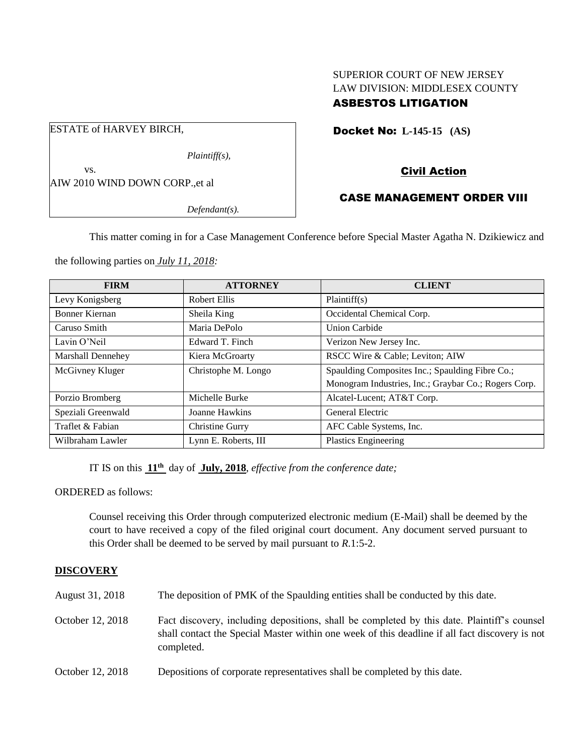# SUPERIOR COURT OF NEW JERSEY LAW DIVISION: MIDDLESEX COUNTY ASBESTOS LITIGATION

Docket No: **L-145-15 (AS)** 

# Civil Action

# CASE MANAGEMENT ORDER VIII

*Defendant(s).*

*Plaintiff(s),*

This matter coming in for a Case Management Conference before Special Master Agatha N. Dzikiewicz and

the following parties on *July 11, 2018:*

AIW 2010 WIND DOWN CORP.,et al

ESTATE of HARVEY BIRCH,

vs.

| <b>FIRM</b>              | <b>ATTORNEY</b>      | <b>CLIENT</b>                                        |
|--------------------------|----------------------|------------------------------------------------------|
| Levy Konigsberg          | Robert Ellis         | Plaintiff(s)                                         |
| Bonner Kiernan           | Sheila King          | Occidental Chemical Corp.                            |
| Caruso Smith             | Maria DePolo         | <b>Union Carbide</b>                                 |
| Lavin O'Neil             | Edward T. Finch      | Verizon New Jersey Inc.                              |
| <b>Marshall Dennehey</b> | Kiera McGroarty      | RSCC Wire & Cable; Leviton; AIW                      |
| McGivney Kluger          | Christophe M. Longo  | Spaulding Composites Inc.; Spaulding Fibre Co.;      |
|                          |                      | Monogram Industries, Inc.; Graybar Co.; Rogers Corp. |
| Porzio Bromberg          | Michelle Burke       | Alcatel-Lucent; AT&T Corp.                           |
| Speziali Greenwald       | Joanne Hawkins       | General Electric                                     |
| Traflet & Fabian         | Christine Gurry      | AFC Cable Systems, Inc.                              |
| Wilbraham Lawler         | Lynn E. Roberts, III | Plastics Engineering                                 |

IT IS on this **11 th** day of **July, 2018**, *effective from the conference date;*

ORDERED as follows:

Counsel receiving this Order through computerized electronic medium (E-Mail) shall be deemed by the court to have received a copy of the filed original court document. Any document served pursuant to this Order shall be deemed to be served by mail pursuant to *R*.1:5-2.

## **DISCOVERY**

August 31, 2018 The deposition of PMK of the Spaulding entities shall be conducted by this date.

- October 12, 2018 Fact discovery, including depositions, shall be completed by this date. Plaintiff's counsel shall contact the Special Master within one week of this deadline if all fact discovery is not completed.
- October 12, 2018 Depositions of corporate representatives shall be completed by this date.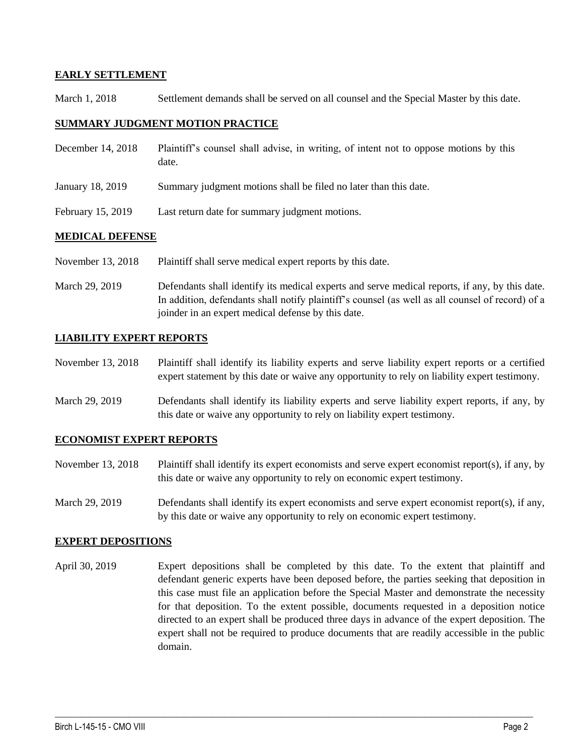### **EARLY SETTLEMENT**

March 1, 2018 Settlement demands shall be served on all counsel and the Special Master by this date.

#### **SUMMARY JUDGMENT MOTION PRACTICE**

| December 14, 2018 | Plaintiff's counsel shall advise, in writing, of intent not to oppose motions by this<br>date. |
|-------------------|------------------------------------------------------------------------------------------------|
| January 18, 2019  | Summary judgment motions shall be filed no later than this date.                               |
| February 15, 2019 | Last return date for summary judgment motions.                                                 |

### **MEDICAL DEFENSE**

November 13, 2018 Plaintiff shall serve medical expert reports by this date.

March 29, 2019 Defendants shall identify its medical experts and serve medical reports, if any, by this date. In addition, defendants shall notify plaintiff's counsel (as well as all counsel of record) of a joinder in an expert medical defense by this date.

## **LIABILITY EXPERT REPORTS**

November 13, 2018 Plaintiff shall identify its liability experts and serve liability expert reports or a certified expert statement by this date or waive any opportunity to rely on liability expert testimony.

March 29, 2019 Defendants shall identify its liability experts and serve liability expert reports, if any, by this date or waive any opportunity to rely on liability expert testimony.

#### **ECONOMIST EXPERT REPORTS**

- November 13, 2018 Plaintiff shall identify its expert economists and serve expert economist report(s), if any, by this date or waive any opportunity to rely on economic expert testimony.
- March 29, 2019 Defendants shall identify its expert economists and serve expert economist report(s), if any, by this date or waive any opportunity to rely on economic expert testimony.

#### **EXPERT DEPOSITIONS**

April 30, 2019 Expert depositions shall be completed by this date. To the extent that plaintiff and defendant generic experts have been deposed before, the parties seeking that deposition in this case must file an application before the Special Master and demonstrate the necessity for that deposition. To the extent possible, documents requested in a deposition notice directed to an expert shall be produced three days in advance of the expert deposition. The expert shall not be required to produce documents that are readily accessible in the public domain.

 $\_$  ,  $\_$  ,  $\_$  ,  $\_$  ,  $\_$  ,  $\_$  ,  $\_$  ,  $\_$  ,  $\_$  ,  $\_$  ,  $\_$  ,  $\_$  ,  $\_$  ,  $\_$  ,  $\_$  ,  $\_$  ,  $\_$  ,  $\_$  ,  $\_$  ,  $\_$  ,  $\_$  ,  $\_$  ,  $\_$  ,  $\_$  ,  $\_$  ,  $\_$  ,  $\_$  ,  $\_$  ,  $\_$  ,  $\_$  ,  $\_$  ,  $\_$  ,  $\_$  ,  $\_$  ,  $\_$  ,  $\_$  ,  $\_$  ,